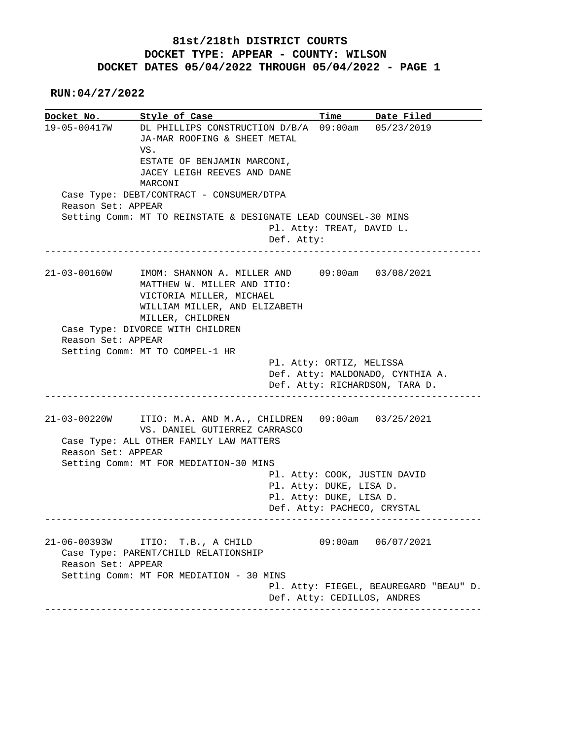## **81st/218th DISTRICT COURTS DOCKET TYPE: APPEAR - COUNTY: WILSON DOCKET DATES 05/04/2022 THROUGH 05/04/2022 - PAGE 1**

 **RUN:04/27/2022**

|                    | Docket No. Style of Case                                                                              |                           | Time Date Filed                                                       |
|--------------------|-------------------------------------------------------------------------------------------------------|---------------------------|-----------------------------------------------------------------------|
|                    | 19-05-00417W DL PHILLIPS CONSTRUCTION D/B/A 09:00am 05/23/2019<br>JA-MAR ROOFING & SHEET METAL<br>VS. |                           |                                                                       |
|                    | ESTATE OF BENJAMIN MARCONI,                                                                           |                           |                                                                       |
|                    | JACEY LEIGH REEVES AND DANE                                                                           |                           |                                                                       |
|                    | MARCONI                                                                                               |                           |                                                                       |
|                    | Case Type: DEBT/CONTRACT - CONSUMER/DTPA                                                              |                           |                                                                       |
| Reason Set: APPEAR |                                                                                                       |                           |                                                                       |
|                    | Setting Comm: MT TO REINSTATE & DESIGNATE LEAD COUNSEL-30 MINS                                        | Pl. Atty: TREAT, DAVID L. |                                                                       |
|                    | Def. Atty:                                                                                            |                           |                                                                       |
|                    |                                                                                                       |                           |                                                                       |
| $21 - 03 - 00160W$ | IMOM: SHANNON A. MILLER AND 09:00am 03/08/2021                                                        |                           |                                                                       |
|                    | MATTHEW W. MILLER AND ITIO:                                                                           |                           |                                                                       |
|                    | VICTORIA MILLER, MICHAEL                                                                              |                           |                                                                       |
|                    | WILLIAM MILLER, AND ELIZABETH                                                                         |                           |                                                                       |
|                    | MILLER, CHILDREN                                                                                      |                           |                                                                       |
|                    | Case Type: DIVORCE WITH CHILDREN                                                                      |                           |                                                                       |
| Reason Set: APPEAR | Setting Comm: MT TO COMPEL-1 HR                                                                       |                           |                                                                       |
|                    |                                                                                                       | Pl. Atty: ORTIZ, MELISSA  |                                                                       |
|                    |                                                                                                       |                           | Def. Atty: MALDONADO, CYNTHIA A.                                      |
|                    |                                                                                                       |                           | Def. Atty: RICHARDSON, TARA D.                                        |
|                    |                                                                                                       |                           |                                                                       |
|                    | 21-03-00220W ITIO: M.A. AND M.A., CHILDREN 09:00am 03/25/2021                                         |                           |                                                                       |
|                    | VS. DANIEL GUTIERREZ CARRASCO                                                                         |                           |                                                                       |
| Reason Set: APPEAR | Case Type: ALL OTHER FAMILY LAW MATTERS                                                               |                           |                                                                       |
|                    | Setting Comm: MT FOR MEDIATION-30 MINS                                                                |                           |                                                                       |
|                    |                                                                                                       |                           | Pl. Atty: COOK, JUSTIN DAVID                                          |
|                    |                                                                                                       | Pl. Atty: DUKE, LISA D.   |                                                                       |
|                    |                                                                                                       | Pl. Atty: DUKE, LISA D.   |                                                                       |
|                    |                                                                                                       |                           | Def. Atty: PACHECO, CRYSTAL                                           |
|                    |                                                                                                       |                           |                                                                       |
|                    |                                                                                                       |                           |                                                                       |
| $21 - 06 - 00393W$ | ITIO: T.B., A CHILD                                                                                   | 09:00am                   | 06/07/2021                                                            |
|                    | Case Type: PARENT/CHILD RELATIONSHIP                                                                  |                           |                                                                       |
| Reason Set: APPEAR |                                                                                                       |                           |                                                                       |
|                    | Setting Comm: MT FOR MEDIATION - 30 MINS                                                              |                           |                                                                       |
|                    |                                                                                                       |                           | Pl. Atty: FIEGEL, BEAUREGARD "BEAU" D.<br>Def. Atty: CEDILLOS, ANDRES |